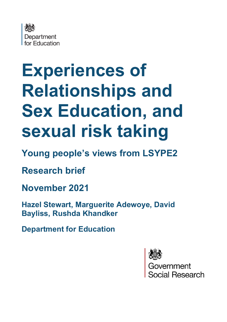

# **Experiences of Relationships and Sex Education, and sexual risk taking**

**Young people's views from LSYPE2**

**Research brief**

**November 2021**

**Hazel Stewart, Marguerite Adewoye, David Bayliss, Rushda Khandker**

**Department for Education**



vernment Social Research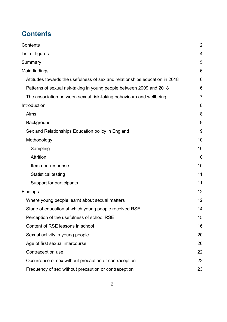## <span id="page-1-0"></span>**Contents**

| $\overline{2}$ |
|----------------|
| 4              |
| 5              |
| 6              |
| 6              |
| 6              |
| $\overline{7}$ |
| 8              |
| 8              |
| 9              |
| 9              |
| 10             |
| 10             |
| 10             |
| 10             |
| 11             |
| 11             |
| 12             |
| 12             |
| 14             |
| 15             |
| 16             |
| 20             |
| 20             |
| 22             |
| 22             |
| 23             |
|                |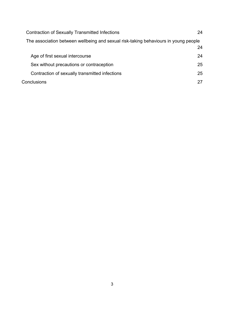| <b>Contraction of Sexually Transmitted Infections</b>                               | 24 |
|-------------------------------------------------------------------------------------|----|
| The association between wellbeing and sexual risk-taking behaviours in young people |    |
|                                                                                     | 24 |
| Age of first sexual intercourse                                                     | 24 |
| Sex without precautions or contraception                                            | 25 |
| Contraction of sexually transmitted infections                                      | 25 |
| Conclusions                                                                         | 27 |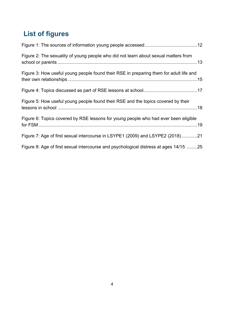# <span id="page-3-0"></span>**List of figures**

| Figure 2: The sexuality of young people who did not learn about sexual matters from    |
|----------------------------------------------------------------------------------------|
| Figure 3: How useful young people found their RSE in preparing them for adult life and |
|                                                                                        |
| Figure 5: How useful young people found their RSE and the topics covered by their      |
| Figure 6: Topics covered by RSE lessons for young people who had ever been eligible    |
| Figure 7: Age of first sexual intercourse in LSYPE1 (2009) and LSYPE2 (2018)21         |
| Figure 8: Age of first sexual intercourse and psychological distress at ages 14/15 25  |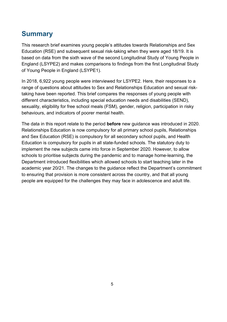## <span id="page-4-0"></span>**Summary**

This research brief examines young people's attitudes towards Relationships and Sex Education (RSE) and subsequent sexual risk-taking when they were aged 18/19. It is based on data from the sixth wave of the second Longitudinal Study of Young People in England (LSYPE2) and makes comparisons to findings from the first Longitudinal Study of Young People in England (LSYPE1).

In 2018, 6,922 young people were interviewed for LSYPE2. Here, their responses to a range of questions about attitudes to Sex and Relationships Education and sexual risktaking have been reported. This brief compares the responses of young people with different characteristics, including special education needs and disabilities (SEND), sexuality, eligibility for free school meals (FSM), gender, religion, participation in risky behaviours, and indicators of poorer mental health.

The data in this report relate to the period **before** new guidance was introduced in 2020. Relationships Education is now compulsory for all primary school pupils, Relationships and Sex Education (RSE) is compulsory for all secondary school pupils, and Health Education is compulsory for pupils in all state-funded schools. The statutory duty to implement the new subjects came into force in September 2020. However, to allow schools to prioritise subjects during the pandemic and to manage home-learning, the Department introduced flexibilities which allowed schools to start teaching later in the academic year 20/21. The changes to the guidance reflect the Department's commitment to ensuring that provision is more consistent across the country, and that all young people are equipped for the challenges they may face in adolescence and adult life.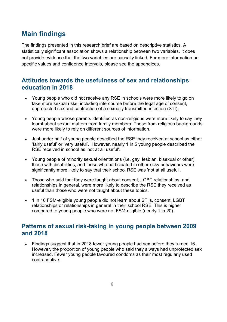## <span id="page-5-0"></span>**Main findings**

The findings presented in this research brief are based on descriptive statistics. A statistically significant association shows a relationship between two variables. It does not provide evidence that the two variables are causally linked. For more information on specific values and confidence intervals, please see the appendices.

## <span id="page-5-1"></span>**Attitudes towards the usefulness of sex and relationships education in 2018**

- Young people who did not receive any RSE in schools were more likely to go on take more sexual risks, including intercourse before the legal age of consent, unprotected sex and contraction of a sexually transmitted infection (STI).
- Young people whose parents identified as non-religious were more likely to say they learnt about sexual matters from family members. Those from religious backgrounds were more likely to rely on different sources of information.
- Just under half of young people described the RSE they received at school as either 'fairly useful' or 'very useful'. However, nearly 1 in 5 young people described the RSE received in school as 'not at all useful'.
- Young people of minority sexual orientations (i.e. gay, lesbian, bisexual or other), those with disabilities, and those who participated in other risky behaviours were significantly more likely to say that their school RSE was 'not at all useful'.
- Those who said that they were taught about consent, LGBT relationships, and relationships in general, were more likely to describe the RSE they received as useful than those who were not taught about these topics.
- 1 in 10 FSM-eligible young people did not learn about STI's, consent, LGBT relationships or relationships in general in their school RSE. This is higher compared to young people who were not FSM-eligible (nearly 1 in 20).

#### <span id="page-5-2"></span>**Patterns of sexual risk-taking in young people between 2009 and 2018**

• Findings suggest that in 2018 fewer young people had sex before they turned 16. However, the proportion of young people who said they always had unprotected sex increased. Fewer young people favoured condoms as their most regularly used contraceptive.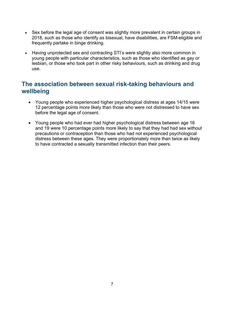- Sex before the legal age of consent was slightly more prevalent in certain groups in 2018, such as those who identify as bisexual, have disabilities, are FSM-eligible and frequently partake in binge drinking.
- Having unprotected sex and contracting STI's were slightly also more common in young people with particular characteristics, such as those who identified as gay or lesbian, or those who took part in other risky behaviours, such as drinking and drug use.

## <span id="page-6-0"></span>**The association between sexual risk-taking behaviours and wellbeing**

- Young people who experienced higher psychological distress at ages 14/15 were 12 percentage points more likely than those who were not distressed to have sex before the legal age of consent.
- Young people who had ever had higher psychological distress between age 16 and 19 were 10 percentage points more likely to say that they had had sex without precautions or contraception than those who had not experienced psychological distress between these ages. They were proportionately more than twice as likely to have contracted a sexually transmitted infection than their peers.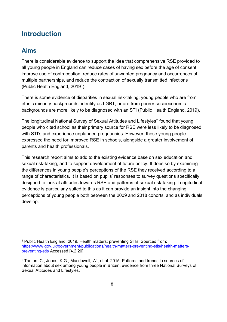## <span id="page-7-0"></span>**Introduction**

#### <span id="page-7-1"></span>**Aims**

There is considerable evidence to support the idea that comprehensive RSE provided to all young people in England can reduce cases of having sex before the age of consent, improve use of contraception, reduce rates of unwanted pregnancy and occurrences of multiple partnerships, and reduce the contraction of sexually transmitted infections (Public Health England, 20[1](#page-7-2)9<sup>1</sup>).

There is some evidence of disparities in sexual risk-taking: young people who are from ethnic minority backgrounds, identify as LGBT, or are from poorer socioeconomic backgrounds are more likely to be diagnosed with an STI (Public Health England, 2019).

The longitudinal National Survey of Sexual Attitudes and Lifestyles<sup>[2](#page-7-3)</sup> found that young people who cited school as their primary source for RSE were less likely to be diagnosed with STI's and experience unplanned pregnancies. However, these young people expressed the need for improved RSE in schools, alongside a greater involvement of parents and health professionals.

This research report aims to add to the existing evidence base on sex education and sexual risk-taking, and to support development of future policy. It does so by examining the differences in young people's perceptions of the RSE they received according to a range of characteristics. It is based on pupils' responses to survey questions specifically designed to look at attitudes towards RSE and patterns of sexual risk-taking. Longitudinal evidence is particularly suited to this as it can provide an insight into the changing perceptions of young people both between the 2009 and 2018 cohorts, and as individuals develop.

<span id="page-7-2"></span><sup>1</sup> Public Health England, 2019. Health matters: preventing STIs. Sourced from: [https://www.gov.uk/government/publications/health-matters-preventing-stis/health-matters](https://www.gov.uk/government/publications/health-matters-preventing-stis/health-matters-preventing-stis)[preventing-stis](https://www.gov.uk/government/publications/health-matters-preventing-stis/health-matters-preventing-stis) Accessed [4.2.20]

<span id="page-7-3"></span><sup>2</sup> Tanton, C., Jones, K.G., Macdowell, W., et al. 2015. Patterns and trends in sources of information about sex among young people in Britain: evidence from three National Surveys of Sexual Attitudes and Lifestyles.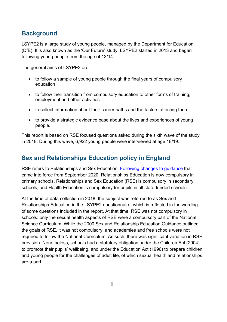## <span id="page-8-0"></span>**Background**

LSYPE2 is a large study of young people, managed by the Department for Education (DfE). It is also known as the 'Our Future' study. LSYPE2 started in 2013 and began following young people from the age of 13/14.

The general aims of LSYPE2 are:

- to follow a sample of young people through the final years of compulsory education
- to follow their transition from compulsory education to other forms of training, employment and other activities
- to collect information about their career paths and the factors affecting them
- to provide a strategic evidence base about the lives and experiences of young people.

This report is based on RSE focused questions asked during the sixth wave of the study in 2018. During this wave, 6,922 young people were interviewed at age 18/19.

## <span id="page-8-1"></span>**Sex and Relationships Education policy in England**

RSE refers to Relationships and Sex Education. [Following changes to guidance](https://www.gov.uk/government/publications/relationships-education-relationships-and-sex-education-rse-and-health-education) that came into force from September 2020, Relationships Education is now compulsory in primary schools, Relationships and Sex Education (RSE) is compulsory in secondary schools, and Health Education is compulsory for pupils in all state-funded schools.

At the time of data collection in 2018, the subject was referred to as Sex and Relationships Education in the LSYPE2 questionnaire, which is reflected in the wording of some questions included in the report. At that time, RSE was not compulsory in schools: only the sexual health aspects of RSE were a compulsory part of the National Science Curriculum. While the 2000 Sex and Relationship Education Guidance outlined the goals of RSE, it was not compulsory, and academies and free schools were not required to follow the National Curriculum. As such, there was significant variation in RSE provision. Nonetheless, schools had a statutory obligation under the Children Act (2004) to promote their pupils' wellbeing, and under the Education Act (1996) to prepare children and young people for the challenges of adult life, of which sexual health and relationships are a part.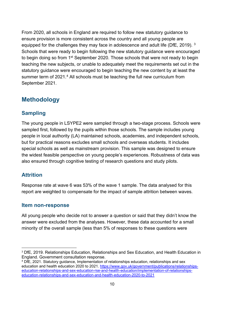From 2020, all schools in England are required to follow new statutory guidance to ensure provision is more consistent across the country and all young people are equipped for the challenges they may face in adolescence and adult life (DfE, 2019). <sup>[3](#page-9-4)</sup> Schools that were ready to begin following the new statutory guidance were encouraged to begin doing so from 1st September 2020. Those schools that were not ready to begin teaching the new subjects, or unable to adequately meet the requirements set out in the statutory guidance were encouraged to begin teaching the new content by at least the summer term of 2021.<sup>[4](#page-9-5)</sup> All schools must be teaching the full new curriculum from September 2021.

#### <span id="page-9-0"></span>**Methodology**

#### <span id="page-9-1"></span>**Sampling**

The young people in LSYPE2 were sampled through a two-stage process. Schools were sampled first, followed by the pupils within those schools. The sample includes young people in local authority (LA) maintained schools, academies, and independent schools, but for practical reasons excludes small schools and overseas students. It includes special schools as well as mainstream provision. This sample was designed to ensure the widest feasible perspective on young people's experiences. Robustness of data was also ensured through cognitive testing of research questions and study pilots.

#### <span id="page-9-2"></span>**Attrition**

Response rate at wave 6 was 53% of the wave 1 sample. The data analysed for this report are weighted to compensate for the impact of sample attrition between waves.

#### <span id="page-9-3"></span>**Item non-response**

All young people who decide not to answer a question or said that they didn't know the answer were excluded from the analyses. However, these data accounted for a small minority of the overall sample (less than 5% of responses to these questions were

<span id="page-9-4"></span><sup>3</sup> DfE, 2019. Relationships Education, Relationships and Sex Education, and Health Education in England. Government consultation response.

<span id="page-9-5"></span><sup>4</sup> DfE, 2021. Statutory guidance, Implementation of relationships education, relationships and sex education and health education 2020 to 2021. [https://www.gov.uk/government/publications/relationships](https://www.gov.uk/government/publications/relationships-education-relationships-and-sex-education-rse-and-health-education/implementation-of-relationships-education-relationships-and-sex-education-and-health-education-2020-to-2021)[education-relationships-and-sex-education-rse-and-health-education/implementation-of-relationships](https://www.gov.uk/government/publications/relationships-education-relationships-and-sex-education-rse-and-health-education/implementation-of-relationships-education-relationships-and-sex-education-and-health-education-2020-to-2021)[education-relationships-and-sex-education-and-health-education-2020-to-2021](https://www.gov.uk/government/publications/relationships-education-relationships-and-sex-education-rse-and-health-education/implementation-of-relationships-education-relationships-and-sex-education-and-health-education-2020-to-2021)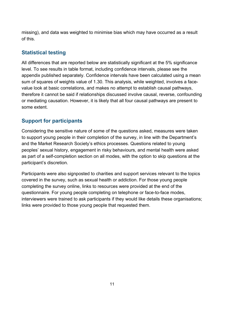missing), and data was weighted to minimise bias which may have occurred as a result of this.

#### <span id="page-10-0"></span>**Statistical testing**

All differences that are reported below are statistically significant at the 5% significance level. To see results in table format, including confidence intervals, please see the appendix published separately. Confidence intervals have been calculated using a mean sum of squares of weights value of 1.30. This analysis, while weighted, involves a facevalue look at basic correlations, and makes no attempt to establish causal pathways, therefore it cannot be said if relationships discussed involve causal, reverse, confounding or mediating causation. However, it is likely that all four causal pathways are present to some extent.

#### <span id="page-10-1"></span>**Support for participants**

Considering the sensitive nature of some of the questions asked, measures were taken to support young people in their completion of the survey, in line with the Department's and the Market Research Society's ethics processes. Questions related to young peoples' sexual history, engagement in risky behaviours, and mental health were asked as part of a self-completion section on all modes, with the option to skip questions at the participant's discretion.

Participants were also signposted to charities and support services relevant to the topics covered in the survey, such as sexual health or addiction. For those young people completing the survey online, links to resources were provided at the end of the questionnaire. For young people completing on telephone or face-to-face modes, interviewers were trained to ask participants if they would like details these organisations; links were provided to those young people that requested them.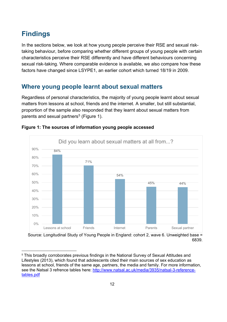## <span id="page-11-0"></span>**Findings**

In the sections below, we look at how young people perceive their RSE and sexual risktaking behaviour, before comparing whether different groups of young people with certain characteristics perceive their RSE differently and have different behaviours concerning sexual risk-taking. Where comparable evidence is available, we also compare how these factors have changed since LSYPE1, an earlier cohort which turned 18/19 in 2009.

## <span id="page-11-1"></span>**Where young people learnt about sexual matters**

Regardless of personal characteristics, the majority of young people learnt about sexual matters from lessons at school, friends and the internet. A smaller, but still substantial, proportion of the sample also responded that they learnt about sexual matters from parents and sexual partners<sup>[5](#page-11-3)</sup> (Figure 1).



#### <span id="page-11-2"></span>**Figure 1: The sources of information young people accessed**

Source: Longitudinal Study of Young People in England: cohort 2, wave 6. Unweighted base = 6839.

<span id="page-11-3"></span><sup>&</sup>lt;sup>5</sup> This broadly corroborates previous findings in the National Survey of Sexual Attitudes and Lifestyles (2013), which found that adolescents cited their main sources of sex education as lessons at school, friends of the same age, partners, the media and family. For more information, see the Natsal 3 refrence tables here: [http://www.natsal.ac.uk/media/3935/natsal-3-reference](http://www.natsal.ac.uk/media/3935/natsal-3-reference-tables.pdf)[tables.pdf](http://www.natsal.ac.uk/media/3935/natsal-3-reference-tables.pdf)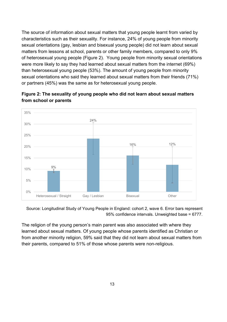The source of information about sexual matters that young people learnt from varied by characteristics such as their sexuality. For instance, 24% of young people from minority sexual orientations (gay, lesbian and bisexual young people) did not learn about sexual matters from lessons at school, parents or other family members, compared to only 9% of heterosexual young people (Figure 2). Young people from minority sexual orientations were more likely to say they had learned about sexual matters from the internet (69%) than heterosexual young people (53%). The amount of young people from minority sexual orientations who said they learned about sexual matters from their friends (71%) or partners (45%) was the same as for heterosexual young people.



<span id="page-12-0"></span>**Figure 2: The sexuality of young people who did not learn about sexual matters from school or parents** 

Source: Longitudinal Study of Young People in England: cohort 2, wave 6. Error bars represent 95% confidence intervals. Unweighted base = 6777.

The religion of the young person's main parent was also associated with where they learned about sexual matters. Of young people whose parents identified as Christian or from another minority religion, 59% said that they did not learn about sexual matters from their parents, compared to 51% of those whose parents were non-religious.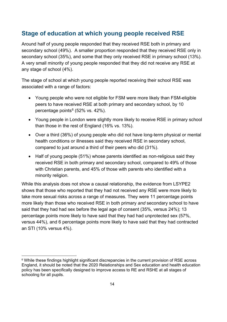## <span id="page-13-0"></span>**Stage of education at which young people received RSE**

Around half of young people responded that they received RSE both in primary and secondary school (49%). A smaller proportion responded that they received RSE only in secondary school (35%), and some that they only received RSE in primary school (13%). A very small minority of young people responded that they did not receive any RSE at any stage of school (4%).

The stage of school at which young people reported receiving their school RSE was associated with a range of factors:

- Young people who were not eligible for FSM were more likely than FSM-eligible peers to have received RSE at both primary and secondary school, by 10 percentage points $6$  (52% vs. 42%).
- Young people in London were slightly more likely to receive RSE in primary school than those in the rest of England (16% vs. 13%).
- Over a third (36%) of young people who did not have long-term physical or mental health conditions or illnesses said they received RSE in secondary school, compared to just around a third of their peers who did (31%).
- Half of young people (51%) whose parents identified as non-religious said they received RSE in both primary and secondary school, compared to 49% of those with Christian parents, and 45% of those with parents who identified with a minority religion.

While this analysis does not show a causal relationship, the evidence from LSYPE2 shows that those who reported that they had not received any RSE were more likely to take more sexual risks across a range of measures. They were 11 percentage points more likely than those who received RSE in both primary *and* secondary school to have said that they had had sex before the legal age of consent (35%, versus 24%); 13 percentage points more likely to have said that they had had unprotected sex (57%, versus 44%), and 6 percentage points more likely to have said that they had contracted an STI (10% versus 4%).

<span id="page-13-1"></span><sup>&</sup>lt;sup>6</sup> While these findings highlight significant discrepancies in the current provision of RSE across England, it should be noted that the 2020 Relationships and Sex education and health education policy has been specifically designed to improve access to RE and RSHE at all stages of schooling for all pupils.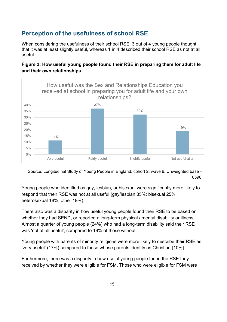## <span id="page-14-0"></span>**Perception of the usefulness of school RSE**

When considering the usefulness of their school RSE, 3 out of 4 young people thought that it was at least slightly useful, whereas 1 in 4 described their school RSE as not at all useful.

#### <span id="page-14-1"></span>**Figure 3: How useful young people found their RSE in preparing them for adult life and their own relationships**

![](_page_14_Figure_3.jpeg)

Source: Longitudinal Study of Young People in England: cohort 2, wave 6. Unweighted base = 6598.

Young people who identified as gay, lesbian, or bisexual were significantly more likely to respond that their RSE was not at all useful (gay/lesbian 35%; bisexual 25%; heterosexual 18%; other 19%).

There also was a disparity in how useful young people found their RSE to be based on whether they had SEND, or reported a long-term physical / mental disability or illness. Almost a quarter of young people (24%) who had a long-term disability said their RSE was 'not at all useful', compared to 19% of those without.

Young people with parents of minority religions were more likely to describe their RSE as 'very useful' (17%) compared to those whose parents identify as Christian (10%).

Furthermore, there was a disparity in how useful young people found the RSE they received by whether they were eligible for FSM. Those who were eligible for FSM were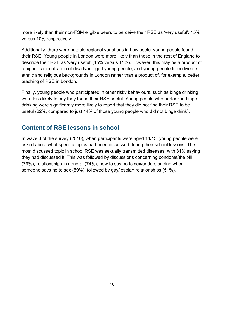more likely than their non-FSM eligible peers to perceive their RSE as 'very useful': 15% versus 10% respectively.

Additionally, there were notable regional variations in how useful young people found their RSE. Young people in London were more likely than those in the rest of England to describe their RSE as 'very useful' (15% versus 11%). However, this may be a product of a higher concentration of disadvantaged young people, and young people from diverse ethnic and religious backgrounds in London rather than a product of, for example, better teaching of RSE in London.

Finally, young people who participated in other risky behaviours, such as binge drinking, were less likely to say they found their RSE useful. Young people who partook in binge drinking were significantly more likely to report that they did not find their RSE to be useful (22%, compared to just 14% of those young people who did not binge drink).

## <span id="page-15-0"></span>**Content of RSE lessons in school**

In wave 3 of the survey (2016), when participants were aged 14/15, young people were asked about what specific topics had been discussed during their school lessons. The most discussed topic in school RSE was sexually transmitted diseases, with 81% saying they had discussed it. This was followed by discussions concerning condoms/the pill (79%), relationships in general (74%), how to say no to sex/understanding when someone says no to sex (59%), followed by gay/lesbian relationships (51%).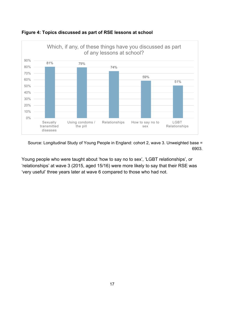![](_page_16_Figure_0.jpeg)

<span id="page-16-0"></span>**Figure 4: Topics discussed as part of RSE lessons at school** 

Source: Longitudinal Study of Young People in England: cohort 2, wave 3. Unweighted base = 6903.

Young people who were taught about 'how to say no to sex', 'LGBT relationships', or 'relationships' at wave 3 (2015, aged 15/16) were more likely to say that their RSE was 'very useful' three years later at wave 6 compared to those who had not.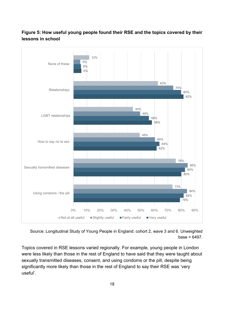#### <span id="page-17-0"></span>**Figure 5: How useful young people found their RSE and the topics covered by their lessons in school**

![](_page_17_Figure_1.jpeg)

Source: Longitudinal Study of Young People in England: cohort 2, wave 3 and 6. Unweighted  $base = 6497$ 

Topics covered in RSE lessons varied regionally. For example, young people in London were less likely than those in the rest of England to have said that they were taught about sexually transmitted diseases, consent, and using condoms or the pill, despite being significantly more likely than those in the rest of England to say their RSE was 'very useful'.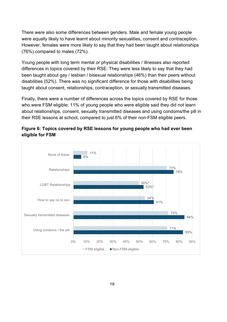There were also some differences between genders. Male and female young people were equally likely to have learnt about minority sexualities, consent and contraception. However, females were more likely to say that they had been taught about relationships (76%) compared to males (72%).

Young people with long term mental or physical disabilities / illnesses also reported differences in topics covered by their RSE. They were less likely to say that they had been taught about gay / lesbian / bisexual relationships (46%) than their peers without disabilities (52%). There was no significant difference for those with disabilities being taught about consent, relationships, contraception, or sexually transmitted diseases.

Finally, there were a number of differences across the topics covered by RSE for those who were FSM eligible: 11% of young people who were eligible said they did not learn about relationships, consent, sexually transmitted diseases and using condoms/the pill in their RSE lessons at school, compared to just 6% of their non-FSM eligible peers.

![](_page_18_Figure_3.jpeg)

<span id="page-18-0"></span>![](_page_18_Figure_4.jpeg)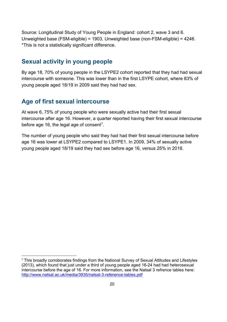Source: Longitudinal Study of Young People in England: cohort 2, wave 3 and 6. Unweighted base (FSM-eligible) = 1903. Unweighted base (non-FSM-eligible) = 4246. \*This is not a statistically significant difference.

#### <span id="page-19-0"></span>**Sexual activity in young people**

By age 18, 70% of young people in the LSYPE2 cohort reported that they had had sexual intercourse with someone. This was lower than in the first LSYPE cohort, where 83% of young people aged 18/19 in 2009 said they had had sex.

#### <span id="page-19-1"></span>**Age of first sexual intercourse**

At wave 6, 75% of young people who were sexually active had their first sexual intercourse after age 16. However, a quarter reported having their first sexual intercourse before age 16, the legal age of consent<sup>7</sup>.

The number of young people who said they had had their first sexual intercourse before age 16 was lower at LSYPE2 compared to LSYPE1. In 2009, 34% of sexually active young people aged 18/19 said they had sex before age 16, versus 25% in 2018.

<span id="page-19-2"></span><sup>&</sup>lt;sup>7</sup> This broadly corroborates findings from the National Survey of Sexual Attitudes and Lifestyles (2013), which found that just under a third of young people aged 16-24 had had heterosexual intercourse before the age of 16. For more information, see the Natsal 3 refrence tables here: <http://www.natsal.ac.uk/media/3935/natsal-3-reference-tables.pdf>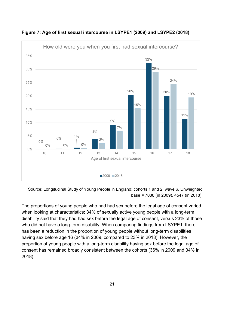![](_page_20_Figure_0.jpeg)

<span id="page-20-0"></span>**Figure 7: Age of first sexual intercourse in LSYPE1 (2009) and LSYPE2 (2018)**

Source: Longitudinal Study of Young People in England: cohorts 1 and 2, wave 6. Unweighted base = 7088 (in 2009), 4547 (in 2018).

The proportions of young people who had had sex before the legal age of consent varied when looking at characteristics: 34% of sexually active young people with a long-term disability said that they had had sex before the legal age of consent, versus 23% of those who did not have a long-term disability. When comparing findings from LSYPE1, there has been a reduction in the proportion of young people without long-term disabilities having sex before age 16 (34% in 2009, compared to 23% in 2018). However, the proportion of young people with a long-term disability having sex before the legal age of consent has remained broadly consistent between the cohorts (36% in 2009 and 34% in 2018).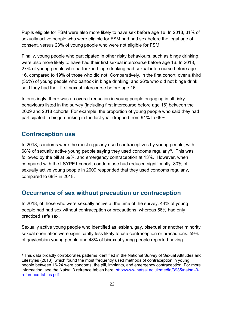Pupils eligible for FSM were also more likely to have sex before age 16. In 2018, 31% of sexually active people who were eligible for FSM had had sex before the legal age of consent, versus 23% of young people who were not eligible for FSM.

Finally, young people who participated in other risky behaviours, such as binge drinking, were also more likely to have had their first sexual intercourse before age 16. In 2018, 27% of young people who partook in binge drinking had sexual intercourse before age 16, compared to 19% of those who did not. Comparatively, in the first cohort, over a third (35%) of young people who partook in binge drinking, and 26% who did not binge drink, said they had their first sexual intercourse before age 16.

Interestingly, there was an overall reduction in young people engaging in all risky behaviours listed in the survey (including first intercourse before age 16) between the 2009 and 2018 cohorts. For example, the proportion of young people who said they had participated in binge-drinking in the last year dropped from 91% to 69%.

#### <span id="page-21-0"></span>**Contraception use**

In 2018, condoms were the most regularly used contraceptives by young people, with 68% of sexually active young people saying they used condoms regularly<sup>8</sup>. This was followed by the pill at 59%, and emergency contraception at 13%. However, when compared with the LSYPE1 cohort, condom use had reduced significantly: 80% of sexually active young people in 2009 responded that they used condoms regularly, compared to 68% in 2018.

## <span id="page-21-1"></span>**Occurrence of sex without precaution or contraception**

In 2018, of those who were sexually active at the time of the survey, 44% of young people had had sex without contraception or precautions, whereas 56% had only practiced safe sex.

Sexually active young people who identified as lesbian, gay, bisexual or another minority sexual orientation were significantly less likely to use contraception or precautions. 59% of gay/lesbian young people and 48% of bisexual young people reported having

<span id="page-21-2"></span><sup>&</sup>lt;sup>8</sup> This data broadly corroborates patterns identified in the National Survey of Sexual Attitudes and Lifestyles (2013), which found the most frequently used methods of contraception in young people between 16-24 were condoms, the pill, implants, and emergency contraception. For more information, see the Natsal 3 refrence tables here: [http://www.natsal.ac.uk/media/3935/natsal-3](http://www.natsal.ac.uk/media/3935/natsal-3-reference-tables.pdf) [reference-tables.pdf](http://www.natsal.ac.uk/media/3935/natsal-3-reference-tables.pdf)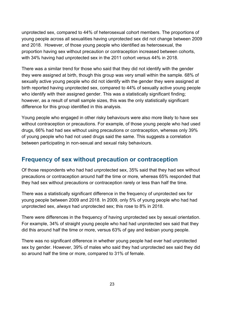unprotected sex, compared to 44% of heterosexual cohort members. The proportions of young people across all sexualities having unprotected sex did not change between 2009 and 2018. However, of those young people who identified as heterosexual, the proportion having sex without precaution or contraception increased between cohorts, with 34% having had unprotected sex in the 2011 cohort versus 44% in 2018.

There was a similar trend for those who said that they did not identify with the gender they were assigned at birth, though this group was very small within the sample. 68% of sexually active young people who did not identify with the gender they were assigned at birth reported having unprotected sex, compared to 44% of sexually active young people who identify with their assigned gender. This was a statistically significant finding; however, as a result of small sample sizes, this was the only statistically significant difference for this group identified in this analysis.

Young people who engaged in other risky behaviours were also more likely to have sex without contraception or precautions. For example, of those young people who had used drugs, 66% had had sex without using precautions or contraception, whereas only 39% of young people who had not used drugs said the same. This suggests a correlation between participating in non-sexual and sexual risky behaviours.

#### <span id="page-22-0"></span>**Frequency of sex without precaution or contraception**

Of those respondents who had had unprotected sex, 35% said that they had sex without precautions or contraception around half the time or more*,* whereas 65% responded that they had sex without precautions or contraception rarely or less than half the time.

There was a statistically significant difference in the frequency of unprotected sex for young people between 2009 and 2018. In 2009, only 5% of young people who had had unprotected sex, *always* had unprotected sex; this rose to 8% in 2018.

There were differences in the frequency of having unprotected sex by sexual orientation. For example, 34% of straight young people who had had unprotected sex said that they did this around half the time or more, versus 63% of gay and lesbian young people.

There was no significant difference in whether young people had ever had unprotected sex by gender. However, 39% of males who said they had unprotected sex said they did so around half the time or more, compared to 31% of female.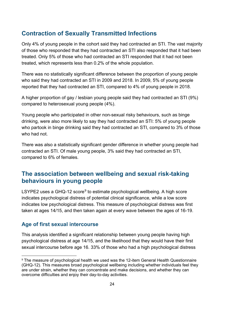#### <span id="page-23-0"></span>**Contraction of Sexually Transmitted Infections**

Only 4% of young people in the cohort said they had contracted an STI. The vast majority of those who responded that they had contracted an STI also responded that it had been treated. Only 5% of those who had contracted an STI responded that it had not been treated, which represents less than 0.2% of the whole population.

There was no statistically significant difference between the proportion of young people who said they had contracted an STI in 2009 and 2018. In 2009, 5% of young people reported that they had contracted an STI, compared to 4% of young people in 2018.

A higher proportion of gay / lesbian young people said they had contracted an STI (9%) compared to heterosexual young people (4%).

Young people who participated in other non-sexual risky behaviours, such as binge drinking, were also more likely to say they had contracted an STI: 5% of young people who partook in binge drinking said they had contracted an STI, compared to 3% of those who had not.

There was also a statistically significant gender difference in whether young people had contracted an STI. Of male young people, 3% said they had contracted an STI, compared to 6% of females.

#### <span id="page-23-1"></span>**The association between wellbeing and sexual risk-taking behaviours in young people**

LSYPE2 uses a GHQ-12 score<sup>[9](#page-23-3)</sup> to estimate psychological wellbeing. A high score indicates psychological distress of potential clinical significance, while a low score indicates low psychological distress. This measure of psychological distress was first taken at ages 14/15, and then taken again at every wave between the ages of 16-19.

#### <span id="page-23-2"></span>**Age of first sexual intercourse**

This analysis identified a significant relationship between young people having high psychological distress at age 14/15, and the likelihood that they would have their first sexual intercourse before age 16. 33% of those who had a high psychological distress

<span id="page-23-3"></span><sup>&</sup>lt;sup>9</sup> The measure of psychological health we used was the 12-item General Health Questionnaire (GHQ-12). This measures broad psychological wellbeing including whether individuals feel they are under strain, whether they can concentrate and make decisions, and whether they can overcome difficulties and enjoy their day-to-day activities.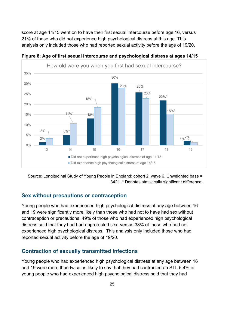score at age 14/15 went on to have their first sexual intercourse before age 16, versus 21% of those who did not experience high psychological distress at this age. This analysis only included those who had reported sexual activity before the age of 19/20.

![](_page_24_Figure_1.jpeg)

<span id="page-24-2"></span>**Figure 8: Age of first sexual intercourse and psychological distress at ages 14/15** 

Source: Longitudinal Study of Young People in England: cohort 2, wave 6. Unweighted base = 3421. \* Denotes statistically significant difference.

#### <span id="page-24-0"></span>**Sex without precautions or contraception**

Young people who had experienced high psychological distress at any age between 16 and 19 were significantly more likely than those who had not to have had sex without contraception or precautions. 49% of those who had experienced high psychological distress said that they had had unprotected sex, versus 38% of those who had not experienced high psychological distress. This analysis only included those who had reported sexual activity before the age of 19/20.

#### <span id="page-24-1"></span>**Contraction of sexually transmitted infections**

Young people who had experienced high psychological distress at any age between 16 and 19 were more than twice as likely to say that they had contracted an STI. 5.4% of young people who had experienced high psychological distress said that they had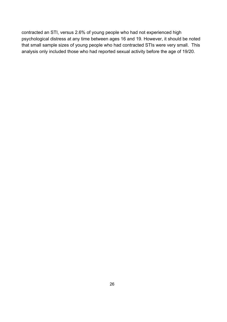contracted an STI, versus 2.6% of young people who had not experienced high psychological distress at any time between ages 16 and 19. However, it should be noted that small sample sizes of young people who had contracted STIs were very small. This analysis only included those who had reported sexual activity before the age of 19/20.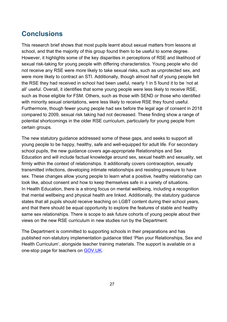## <span id="page-26-0"></span>**Conclusions**

This research brief shows that most pupils learnt about sexual matters from lessons at school, and that the majority of this group found them to be useful to some degree. However, it highlights some of the key disparities in perceptions of RSE and likelihood of sexual risk-taking for young people with differing characteristics. Young people who did not receive any RSE were more likely to take sexual risks, such as unprotected sex, and were more likely to contract an STI. Additionally, though almost half of young people felt the RSE they had received in school had been useful, nearly 1 in 5 found it to be 'not at all' useful. Overall, it identifies that some young people were less likely to receive RSE, such as those eligible for FSM. Others, such as those with SEND or those who identified with minority sexual orientations, were less likely to receive RSE they found useful. Furthermore, though fewer young people had sex before the legal age of consent in 2018 compared to 2009, sexual risk taking had not decreased. These finding show a range of potential shortcomings in the older RSE curriculum, particularly for young people from certain groups.

The new statutory guidance addressed some of these gaps, and seeks to support all young people to be happy, healthy, safe and well-equipped for adult life. For secondary school pupils, the new guidance covers age-appropriate Relationships and Sex Education and will include factual knowledge around sex, sexual health and sexuality, set firmly within the context of relationships. It additionally covers contraception, sexually transmitted infections, developing intimate relationships and resisting pressure to have sex. These changes allow young people to learn what a positive, healthy relationship can look like, about consent and how to keep themselves safe in a variety of situations. In Health Education, there is a strong focus on mental wellbeing, including a recognition that mental wellbeing and physical health are linked. Additionally, the statutory guidance states that all pupils should receive teaching on LGBT content during their school years, and that there should be equal opportunity to explore the features of stable and healthy same sex relationships. There is scope to ask future cohorts of young people about their views on the new RSE curriculum in new studies run by the Department.

The Department is committed to supporting schools in their preparations and has published non-statutory implementation guidance titled 'Plan your Relationships, Sex and Health Curriculum', alongside teacher training materials. The support is available on a one-stop page for teachers on [GOV.UK.](https://www.gov.uk/guidance/teaching-about-relationships-sex-and-health)